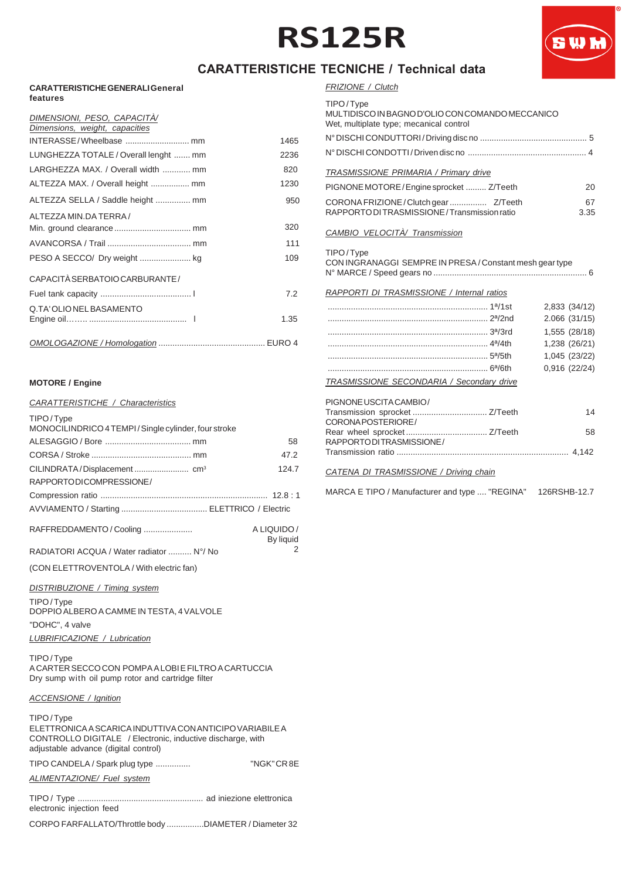## **RS125R**



### **CARATTERISTICHE TECNICHE / Technical data**

#### **CARATTERISTICHE GENERALI General features**

| DIMENSIONI, PESO, CAPACITÀ/<br>Dimensions, weight, capacities |  |
|---------------------------------------------------------------|--|
|                                                               |  |
| 1465                                                          |  |
| LUNGHEZZA TOTALE / Overall lenght  mm<br>2236                 |  |
| LARGHEZZA MAX. / Overall width  mm<br>820                     |  |
| ALTEZZA MAX. / Overall height  mm<br>1230                     |  |
| ALTEZZA SELLA / Saddle height  mm<br>950                      |  |
| ALTEZZA MIN.DA TERRA /                                        |  |
| 320                                                           |  |
| 111                                                           |  |
| 109                                                           |  |
| CAPACITÀ SERBATOIO CARBURANTE /                               |  |
| 7.2                                                           |  |
| Q.TA'OLIONELBASAMENTO                                         |  |
| 1.35                                                          |  |
|                                                               |  |

### **MOTORE / Engine**

### *CARATTERISTICHE / Characteristics*

| TIPO/Type<br>MONOCILINDRICO 4 TEMPI/Single cylinder, four stroke |                          |
|------------------------------------------------------------------|--------------------------|
|                                                                  | 58                       |
|                                                                  | 47.2                     |
|                                                                  | 124.7                    |
| RAPPORTODICOMPRESSIONE/                                          |                          |
|                                                                  |                          |
|                                                                  |                          |
| RAFFREDDAMENTO / Cooling                                         | A LIQUIDO /<br>By liquid |
| RADIATORI ACQUA / Water radiator  N°/ No                         |                          |

(CON ELETTROVENTOLA / With electric fan)

### *DISTRIBUZIONE / Timing system*

TIPO / Type DOPPIO ALBERO A CAMME IN TESTA, 4 VALVOLE "DOHC", 4 valve *LUBRIFICAZIONE / Lubrication*

TIPO / Type A CARTER SECCO CON POMPA A LOBI E FILTRO A CARTUCCIA Dry sump with oil pump rotor and cartridge filter

### *ACCENSIONE / Ignition*

| TIPO/Type<br>ELETTRONICA A SCARICA INDUTTIVA CON ANTICIPO VARIABILE A<br>CONTROLLO DIGITALE / Electronic, inductive discharge, with<br>adjustable advance (digital control) |             |
|-----------------------------------------------------------------------------------------------------------------------------------------------------------------------------|-------------|
| TIPO CANDELA / Spark plug type                                                                                                                                              | "NGK" CR 8E |
| ALIMENTAZIONE/ Fuel system                                                                                                                                                  |             |
| electronic injection feed                                                                                                                                                   |             |
| CORPO FARFALLATO/Throttle body DIAMETER / Diameter 32                                                                                                                       |             |

### *FRIZIONE / Clutch*

| TIPO/Tvne |  |
|-----------|--|

| IIFU/IVPE<br>MULTIDISCO IN BAGNO D'OLIO CON COMANDO MECCANICO<br>Wet, multiplate type; mecanical control |               |
|----------------------------------------------------------------------------------------------------------|---------------|
|                                                                                                          |               |
|                                                                                                          |               |
| TRASMISSIONE PRIMARIA / Primary drive                                                                    |               |
| PIGNONE MOTORE/Engine sprocket  Z/Teeth                                                                  | 20            |
| RAPPORTO DI TRASMISSIONE / Transmission ratio                                                            | 67<br>3.35    |
| CAMBIO VELOCITÀ/ Transmission                                                                            |               |
| TIPO/Type<br>CON INGRANAGGI SEMPRE IN PRESA / Constant mesh gear type                                    |               |
| RAPPORTI DI TRASMISSIONE / Internal ratios                                                               |               |
|                                                                                                          | 2,833 (34/12) |
|                                                                                                          | 2.066 (31/15) |
|                                                                                                          | 1,555 (28/18) |
|                                                                                                          | 1,238 (26/21) |
|                                                                                                          | 1,045 (23/22) |
|                                                                                                          | 0,916 (22/24) |
| TRASMISSIONE SECONDARIA / Secondary drive                                                                |               |
| PIGNONE USCITA CAMBIO/                                                                                   |               |
| Transmission sprocket  Z/Teeth                                                                           | 14            |
| CORONA POSTERIORE/                                                                                       | 58            |
| RAPPORTODITRASMISSIONE/                                                                                  |               |
|                                                                                                          |               |
| CATENA DI TRASMISSIONE / Driving chain                                                                   |               |

MARCA E TIPO / Manufacturer and type .... "REGINA" 126RSHB-12.7